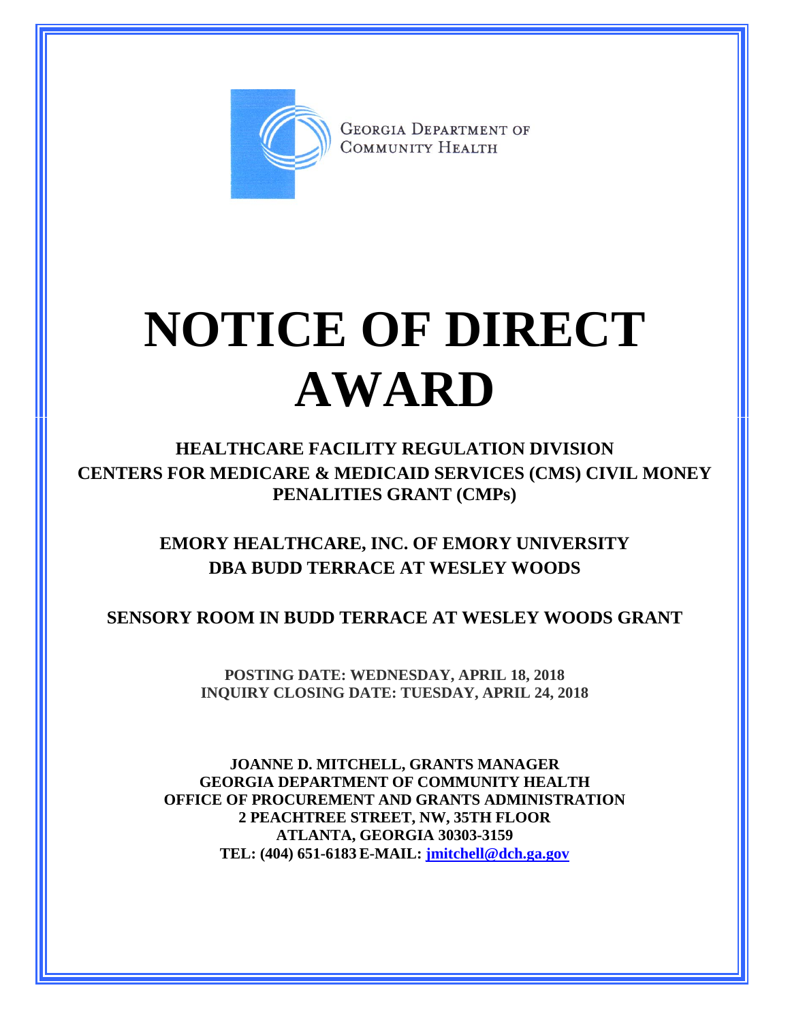

**GEORGIA DEPARTMENT OF** COMMUNITY HEALTH

## **NOTICE OF DIRECT AWARD**

**HEALTHCARE FACILITY REGULATION DIVISION CENTERS FOR MEDICARE & MEDICAID SERVICES (CMS) CIVIL MONEY PENALITIES GRANT (CMPs)**

> **EMORY HEALTHCARE, INC. OF EMORY UNIVERSITY DBA BUDD TERRACE AT WESLEY WOODS**

**SENSORY ROOM IN BUDD TERRACE AT WESLEY WOODS GRANT**

**POSTING DATE: WEDNESDAY, APRIL 18, 2018 INQUIRY CLOSING DATE: TUESDAY, APRIL 24, 2018**

**JOANNE D. MITCHELL, GRANTS MANAGER GEORGIA DEPARTMENT OF COMMUNITY HEALTH OFFICE OF PROCUREMENT AND GRANTS ADMINISTRATION 2 PEACHTREE STREET, NW, 35TH FLOOR ATLANTA, GEORGIA 30303-3159 TEL: (404) 651-6183 E-MAIL: [jmitchell@dch.ga.gov](mailto:awatson@dch.ga.gov)**